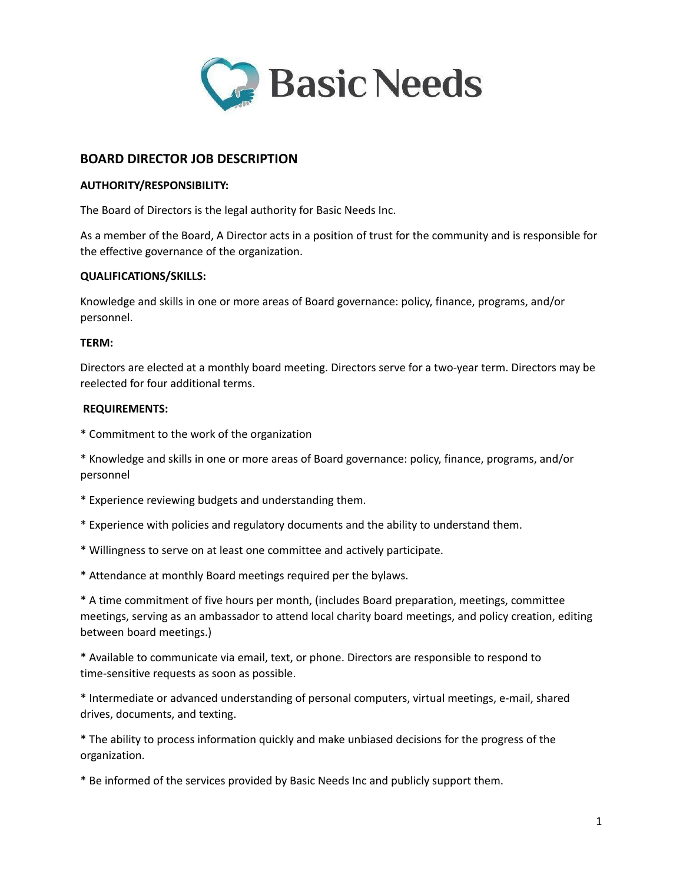

# **BOARD DIRECTOR JOB DESCRIPTION**

## **AUTHORITY/RESPONSIBILITY:**

The Board of Directors is the legal authority for Basic Needs Inc.

As a member of the Board, A Director acts in a position of trust for the community and is responsible for the effective governance of the organization.

#### **QUALIFICATIONS/SKILLS:**

Knowledge and skills in one or more areas of Board governance: policy, finance, programs, and/or personnel.

#### **TERM:**

Directors are elected at a monthly board meeting. Directors serve for a two-year term. Directors may be reelected for four additional terms.

#### **REQUIREMENTS:**

- \* Commitment to the work of the organization
- \* Knowledge and skills in one or more areas of Board governance: policy, finance, programs, and/or personnel
- \* Experience reviewing budgets and understanding them.
- \* Experience with policies and regulatory documents and the ability to understand them.
- \* Willingness to serve on at least one committee and actively participate.
- \* Attendance at monthly Board meetings required per the bylaws.

\* A time commitment of five hours per month, (includes Board preparation, meetings, committee meetings, serving as an ambassador to attend local charity board meetings, and policy creation, editing between board meetings.)

\* Available to communicate via email, text, or phone. Directors are responsible to respond to time-sensitive requests as soon as possible.

\* Intermediate or advanced understanding of personal computers, virtual meetings, e-mail, shared drives, documents, and texting.

\* The ability to process information quickly and make unbiased decisions for the progress of the organization.

\* Be informed of the services provided by Basic Needs Inc and publicly support them.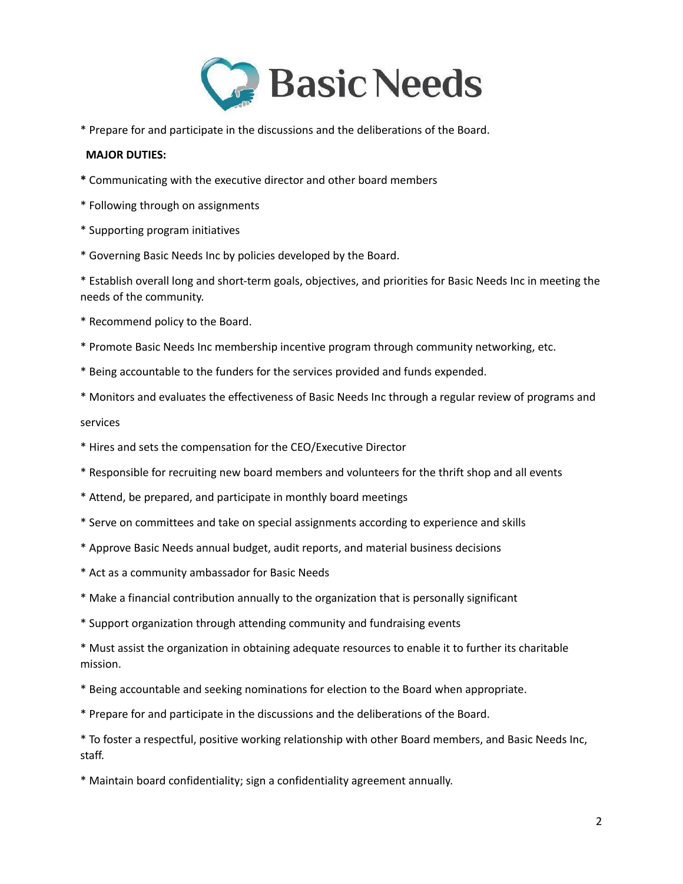

\* Prepare for and participate in the discussions and the deliberations of the Board.

### **MAJOR DUTIES:**

- **\*** Communicating with the executive director and other board members
- \* Following through on assignments
- \* Supporting program initiatives
- \* Governing Basic Needs Inc by policies developed by the Board.

\* Establish overall long and short-term goals, objectives, and priorities for Basic Needs Inc in meeting the needs of the community.

- \* Recommend policy to the Board.
- \* Promote Basic Needs Inc membership incentive program through community networking, etc.
- \* Being accountable to the funders for the services provided and funds expended.
- \* Monitors and evaluates the effectiveness of Basic Needs Inc through a regular review of programs and

#### services

- \* Hires and sets the compensation for the CEO/Executive Director
- \* Responsible for recruiting new board members and volunteers for the thrift shop and all events
- \* Attend, be prepared, and participate in monthly board meetings
- \* Serve on committees and take on special assignments according to experience and skills
- \* Approve Basic Needs annual budget, audit reports, and material business decisions
- \* Act as a community ambassador for Basic Needs
- \* Make a financial contribution annually to the organization that is personally significant
- \* Support organization through attending community and fundraising events
- \* Must assist the organization in obtaining adequate resources to enable it to further its charitable mission.
- \* Being accountable and seeking nominations for election to the Board when appropriate.
- \* Prepare for and participate in the discussions and the deliberations of the Board.
- \* To foster a respectful, positive working relationship with other Board members, and Basic Needs Inc, staff.
- \* Maintain board confidentiality; sign a confidentiality agreement annually.